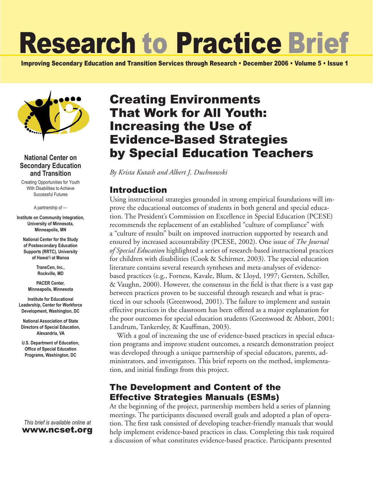# Research to Practice Brief

Improving Secondary Education and Transition Services through Research • December 2006 • Volume 5 • Issue 1



#### **National Center on Secondary Education and Transition**

Creating Opportunities for Youth With Disabilities to Achieve Successful Futures

A partnership of —

**Institute on Community Integration, University of Minnesota, Minneapolis, MN**

**National Center for the Study of Postsecondary Education Supports (RRTC), University of Hawai'i at Manoa**

> **TransCen, Inc., Rockville, MD**

**PACER Center, Minneapolis, Minnesota**

**Institute for Educational Leadership, Center for Workforce Development, Washington, DC**

**National Association of State Directors of Special Education, Alexandria, VA**

**U.S. Department of Education, Office of Special Education Programs, Washington, DC**

*This brief is available online at*  www.ncset.org

# Creating Environments That Work for All Youth: Increasing the Use of Evidence-Based Strategies by Special Education Teachers

*By Krista Kutash and Albert J. Duchnowski*

### Introduction

Using instructional strategies grounded in strong empirical foundations will improve the educational outcomes of students in both general and special education. The President's Commission on Excellence in Special Education (PCESE) recommends the replacement of an established "culture of compliance" with a "culture of results" built on improved instruction supported by research and ensured by increased accountability (PCESE, 2002). One issue of *The Journal of Special Education* highlighted a series of research-based instructional practices for children with disabilities (Cook & Schirmer, 2003). The special education literature contains several research syntheses and meta-analyses of evidencebased practices (e.g., Forness, Kavale, Blum, & Lloyd, 1997; Gersten, Schiller, & Vaughn, 2000). However, the consensus in the field is that there is a vast gap between practices proven to be successful through research and what is practiced in our schools (Greenwood, 2001). The failure to implement and sustain effective practices in the classroom has been offered as a major explanation for the poor outcomes for special education students (Greenwood & Abbott, 2001; Landrum, Tankersley, & Kauffman, 2003).

With a goal of increasing the use of evidence-based practices in special education programs and improve student outcomes, a research demonstration project was developed through a unique partnership of special educators, parents, administrators, and investigators. This brief reports on the method, implementation, and initial findings from this project.

## The Development and Content of the Effective Strategies Manuals (ESMs)

At the beginning of the project, partnership members held a series of planning meetings. The participants discussed overall goals and adopted a plan of operation. The first task consisted of developing teacher-friendly manuals that would help implement evidence-based practices in class. Completing this task required a discussion of what constitutes evidence-based practice. Participants presented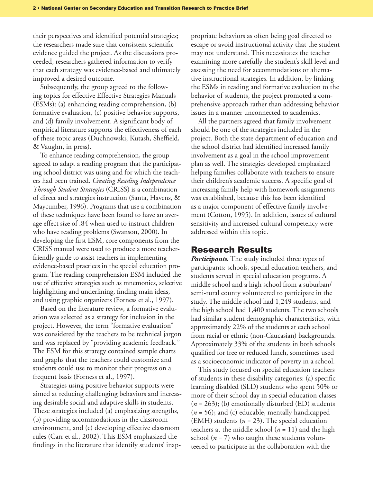their perspectives and identified potential strategies; the researchers made sure that consistent scientific evidence guided the project. As the discussions proceeded, researchers gathered information to verify that each strategy was evidence-based and ultimately improved a desired outcome.

Subsequently, the group agreed to the following topics for effective Effective Strategies Manuals (ESMs): (a) enhancing reading comprehension, (b) formative evaluation, (c) positive behavior supports, and (d) family involvement. A significant body of empirical literature supports the effectiveness of each of these topic areas (Duchnowski, Kutash, Sheffield, & Vaughn, in press).

To enhance reading comprehension, the group agreed to adapt a reading program that the participating school district was using and for which the teachers had been trained. *Creating Reading Independence Through Student Strategies* (CRISS) is a combination of direct and strategies instruction (Santa, Havens, & Maycumber, 1996). Programs that use a combination of these techniques have been found to have an average effect size of .84 when used to instruct children who have reading problems (Swanson, 2000). In developing the first ESM, core components from the CRISS manual were used to produce a more teacherfriendly guide to assist teachers in implementing evidence-based practices in the special education program. The reading comprehension ESM included the use of effective strategies such as mnemonics, selective highlighting and underlining, finding main ideas, and using graphic organizers (Forness et al., 1997).

Based on the literature review, a formative evaluation was selected as a strategy for inclusion in the project. However, the term "formative evaluation" was considered by the teachers to be technical jargon and was replaced by "providing academic feedback." The ESM for this strategy contained sample charts and graphs that the teachers could customize and students could use to monitor their progress on a frequent basis (Forness et al., 1997).

Strategies using positive behavior supports were aimed at reducing challenging behaviors and increasing desirable social and adaptive skills in students. These strategies included (a) emphasizing strengths, (b) providing accommodations in the classroom environment, and (c) developing effective classroom rules (Carr et al., 2002). This ESM emphasized the findings in the literature that identify students' inappropriate behaviors as often being goal directed to escape or avoid instructional activity that the student may not understand. This necessitates the teacher examining more carefully the student's skill level and assessing the need for accommodations or alternative instructional strategies. In addition, by linking the ESMs in reading and formative evaluation to the behavior of students, the project promoted a comprehensive approach rather than addressing behavior issues in a manner unconnected to academics.

All the partners agreed that family involvement should be one of the strategies included in the project. Both the state department of education and the school district had identified increased family involvement as a goal in the school improvement plan as well. The strategies developed emphasized helping families collaborate with teachers to ensure their children's academic success. A specific goal of increasing family help with homework assignments was established, because this has been identified as a major component of effective family involvement (Cotton, 1995). In addition, issues of cultural sensitivity and increased cultural competency were addressed within this topic.

#### Research Results

*Participants.* The study included three types of participants: schools, special education teachers, and students served in special education programs. A middle school and a high school from a suburban/ semi-rural county volunteered to participate in the study. The middle school had 1,249 students, and the high school had 1,400 students. The two schools had similar student demographic characteristics, with approximately 22% of the students at each school from racial or ethnic (non-Caucasian) backgrounds. Approximately 33% of the students in both schools qualified for free or reduced lunch, sometimes used as a socioeconomic indicator of poverty in a school.

This study focused on special education teachers of students in these disability categories: (a) specific learning disabled (SLD) students who spent 50% or more of their school day in special education classes (*n* = 263); (b) emotionally disturbed (ED) students (*n* = 56); and (c) educable, mentally handicapped (EMH) students (*n* = 23). The special education teachers at the middle school (*n* = 11) and the high school  $(n = 7)$  who taught these students volunteered to participate in the collaboration with the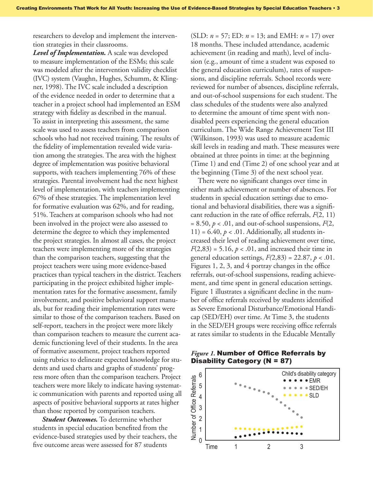researchers to develop and implement the intervention strategies in their classrooms.

*Level of Implementation.* A scale was developed to measure implementation of the ESMs; this scale was modeled after the intervention validity checklist (IVC) system (Vaughn, Hughes, Schumm, & Klingner, 1998). The IVC scale included a description of the evidence needed in order to determine that a teacher in a project school had implemented an ESM strategy with fidelity as described in the manual. To assist in interpreting this assessment, the same scale was used to assess teachers from comparison schools who had not received training. The results of the fidelity of implementation revealed wide variation among the strategies. The area with the highest degree of implementation was positive behavioral supports, with teachers implementing 76% of these strategies. Parental involvement had the next highest level of implementation, with teachers implementing 67% of these strategies. The implementation level for formative evaluation was 62%, and for reading, 51%. Teachers at comparison schools who had not been involved in the project were also assessed to determine the degree to which they implemented the project strategies. In almost all cases, the project teachers were implementing more of the strategies than the comparison teachers, suggesting that the project teachers were using more evidence-based practices than typical teachers in the district. Teachers participating in the project exhibited higher implementation rates for the formative assessment, family involvement, and positive behavioral support manuals, but for reading their implementation rates were similar to those of the comparison teachers. Based on self-report, teachers in the project were more likely than comparison teachers to measure the current academic functioning level of their students. In the area of formative assessment, project teachers reported using rubrics to delineate expected knowledge for students and used charts and graphs of students' progress more often than the comparison teachers. Project teachers were more likely to indicate having systematic communication with parents and reported using all aspects of positive behavioral supports at rates higher than those reported by comparison teachers.

*Student Outcomes.* To determine whether students in special education benefited from the evidence-based strategies used by their teachers, the five outcome areas were assessed for 87 students

(SLD: *n* = 57; ED: *n* = 13; and EMH: *n* = 17) over 18 months. These included attendance, academic achievement (in reading and math), level of inclusion (e.g., amount of time a student was exposed to the general education curriculum), rates of suspensions, and discipline referrals. School records were reviewed for number of absences, discipline referrals, and out-of-school suspensions for each student. The class schedules of the students were also analyzed to determine the amount of time spent with nondisabled peers experiencing the general education curriculum. The Wide Range Achievement Test III (Wilkinson, 1993) was used to measure academic skill levels in reading and math. These measures were obtained at three points in time: at the beginning (Time 1) and end (Time 2) of one school year and at the beginning (Time 3) of the next school year.

There were no significant changes over time in either math achievement or number of absences. For students in special education settings due to emotional and behavioral disabilities, there was a significant reduction in the rate of office referrals, *F*(2, 11)  $= 8.50, p < 0.01$ , and out-of-school suspensions,  $F(2,$ 11) =  $6.40, p < .01$ . Additionally, all students increased their level of reading achievement over time,  $F(2,83) = 5.16, p < .01$ , and increased their time in general education settings, *F(*2,83) = 22.87, *p* < .01. Figures 1, 2, 3, and 4 portray changes in the office referrals, out-of-school suspensions, reading achievement, and time spent in general education settings. Figure 1 illustrates a significant decline in the number of office referrals received by students identified as Severe Emotional Disturbance/Emotional Handicap (SED/EH) over time. At Time 3, the students in the SED/EH groups were receiving office referrals at rates similar to students in the Educable Mentally

#### *Figure 1.* Number of Office Referrals by Disability Category (N = 87)

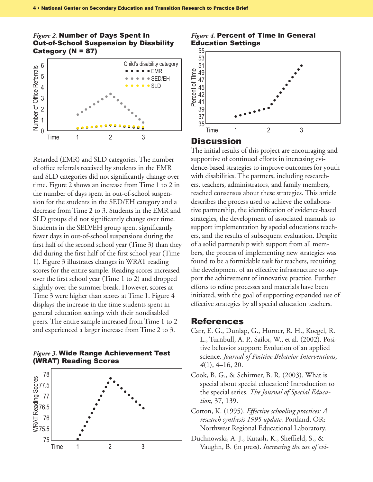#### *Figure 2.* Number of Days Spent in Out-of-School Suspension by Disability Category (N = 87)



Retarded (EMR) and SLD categories. The number of office referrals received by students in the EMR and SLD categories did not significantly change over time. Figure 2 shows an increase from Time 1 to 2 in the number of days spent in out-of-school suspension for the students in the SED/EH category and a decrease from Time 2 to 3. Students in the EMR and SLD groups did not significantly change over time. Students in the SED/EH group spent significantly fewer days in out-of-school suspensions during the first half of the second school year (Time 3) than they did during the first half of the first school year (Time 1). Figure 3 illustrates changes in WRAT reading scores for the entire sample. Reading scores increased over the first school year (Time 1 to 2) and dropped slightly over the summer break. However, scores at Time 3 were higher than scores at Time 1. Figure 4 displays the increase in the time students spent in general education settings with their nondisabled peers. The entire sample increased from Time 1 to 2 and experienced a larger increase from Time 2 to 3.

#### *Figure 3.* Wide Range Achievement Test (WRAT) Reading Scores



#### *Figure 4.* Percent of Time in General Education Settings



#### Discussion

The initial results of this project are encouraging and supportive of continued efforts in increasing evidence-based strategies to improve outcomes for youth with disabilities. The partners, including researchers, teachers, administrators, and family members, reached consensus about these strategies. This article describes the process used to achieve the collaborative partnership, the identification of evidence-based strategies, the development of associated manuals to support implementation by special educations teachers, and the results of subsequent evaluation. Despite of a solid partnership with support from all members, the process of implementing new strategies was found to be a formidable task for teachers, requiring the development of an effective infrastructure to support the achievement of innovative practice. Further efforts to refine processes and materials have been initiated, with the goal of supporting expanded use of effective strategies by all special education teachers.

#### References

- Carr, E. G., Dunlap, G., Horner, R. H., Koegel, R. L., Turnbull, A. P., Sailor, W., et al. (2002). Positive behavior support: Evolution of an applied science. *Journal of Positive Behavior Interventions*, *4*(1), 4–16, 20.
- Cook, B. G., & Schirmer, B. R. (2003). What is special about special education? Introduction to the special series. *The Journal of Special Education*, 37, 139.
- Cotton, K. (1995). *Effective schooling practices: A research synthesis 1995 update.* Portland, OR: Northwest Regional Educational Laboratory.
- Duchnowski, A. J., Kutash, K., Sheffield, S., & Vaughn, B. (in press). *Increasing the use of evi-*